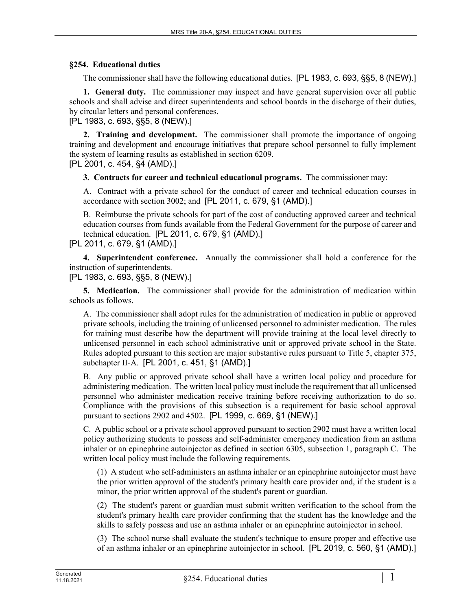## **§254. Educational duties**

The commissioner shall have the following educational duties. [PL 1983, c. 693, §§5, 8 (NEW).]

**1. General duty.** The commissioner may inspect and have general supervision over all public schools and shall advise and direct superintendents and school boards in the discharge of their duties, by circular letters and personal conferences.

[PL 1983, c. 693, §§5, 8 (NEW).]

**2. Training and development.** The commissioner shall promote the importance of ongoing training and development and encourage initiatives that prepare school personnel to fully implement the system of learning results as established in section 6209.

[PL 2001, c. 454, §4 (AMD).]

**3. Contracts for career and technical educational programs.** The commissioner may:

A. Contract with a private school for the conduct of career and technical education courses in accordance with section 3002; and [PL 2011, c. 679, §1 (AMD).]

B. Reimburse the private schools for part of the cost of conducting approved career and technical education courses from funds available from the Federal Government for the purpose of career and technical education. [PL 2011, c. 679, §1 (AMD).]

[PL 2011, c. 679, §1 (AMD).]

**4. Superintendent conference.** Annually the commissioner shall hold a conference for the instruction of superintendents.

[PL 1983, c. 693, §§5, 8 (NEW).]

**5. Medication.** The commissioner shall provide for the administration of medication within schools as follows.

A. The commissioner shall adopt rules for the administration of medication in public or approved private schools, including the training of unlicensed personnel to administer medication. The rules for training must describe how the department will provide training at the local level directly to unlicensed personnel in each school administrative unit or approved private school in the State. Rules adopted pursuant to this section are major substantive rules pursuant to Title 5, chapter 375, subchapter II‑A. [PL 2001, c. 451, §1 (AMD).]

B. Any public or approved private school shall have a written local policy and procedure for administering medication. The written local policy must include the requirement that all unlicensed personnel who administer medication receive training before receiving authorization to do so. Compliance with the provisions of this subsection is a requirement for basic school approval pursuant to sections 2902 and 4502. [PL 1999, c. 669, §1 (NEW).]

C. A public school or a private school approved pursuant to section 2902 must have a written local policy authorizing students to possess and self-administer emergency medication from an asthma inhaler or an epinephrine autoinjector as defined in section 6305, subsection 1, paragraph C. The written local policy must include the following requirements.

(1) A student who self-administers an asthma inhaler or an epinephrine autoinjector must have the prior written approval of the student's primary health care provider and, if the student is a minor, the prior written approval of the student's parent or guardian.

(2) The student's parent or guardian must submit written verification to the school from the student's primary health care provider confirming that the student has the knowledge and the skills to safely possess and use an asthma inhaler or an epinephrine autoinjector in school.

(3) The school nurse shall evaluate the student's technique to ensure proper and effective use of an asthma inhaler or an epinephrine autoinjector in school. [PL 2019, c. 560, §1 (AMD).]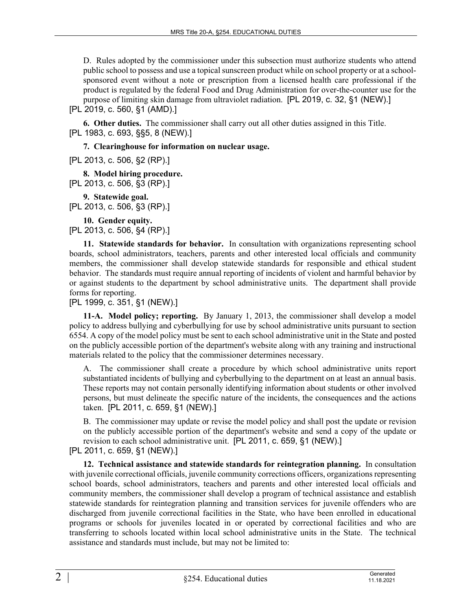D. Rules adopted by the commissioner under this subsection must authorize students who attend public school to possess and use a topical sunscreen product while on school property or at a schoolsponsored event without a note or prescription from a licensed health care professional if the product is regulated by the federal Food and Drug Administration for over-the-counter use for the purpose of limiting skin damage from ultraviolet radiation. [PL 2019, c. 32, §1 (NEW).] [PL 2019, c. 560, §1 (AMD).]

**6. Other duties.** The commissioner shall carry out all other duties assigned in this Title. [PL 1983, c. 693, §§5, 8 (NEW).]

**7. Clearinghouse for information on nuclear usage.** 

[PL 2013, c. 506, §2 (RP).]

**8. Model hiring procedure.**  [PL 2013, c. 506, §3 (RP).]

**9. Statewide goal.**  [PL 2013, c. 506, §3 (RP).]

**10. Gender equity.**  [PL 2013, c. 506, §4 (RP).]

**11. Statewide standards for behavior.** In consultation with organizations representing school boards, school administrators, teachers, parents and other interested local officials and community members, the commissioner shall develop statewide standards for responsible and ethical student behavior. The standards must require annual reporting of incidents of violent and harmful behavior by or against students to the department by school administrative units. The department shall provide forms for reporting.

[PL 1999, c. 351, §1 (NEW).]

**11-A. Model policy; reporting.** By January 1, 2013, the commissioner shall develop a model policy to address bullying and cyberbullying for use by school administrative units pursuant to section 6554. A copy of the model policy must be sent to each school administrative unit in the State and posted on the publicly accessible portion of the department's website along with any training and instructional materials related to the policy that the commissioner determines necessary.

A. The commissioner shall create a procedure by which school administrative units report substantiated incidents of bullying and cyberbullying to the department on at least an annual basis. These reports may not contain personally identifying information about students or other involved persons, but must delineate the specific nature of the incidents, the consequences and the actions taken. [PL 2011, c. 659, §1 (NEW).]

B. The commissioner may update or revise the model policy and shall post the update or revision on the publicly accessible portion of the department's website and send a copy of the update or revision to each school administrative unit. [PL 2011, c. 659, §1 (NEW).]

[PL 2011, c. 659, §1 (NEW).]

**12. Technical assistance and statewide standards for reintegration planning.** In consultation with juvenile correctional officials, juvenile community corrections officers, organizations representing school boards, school administrators, teachers and parents and other interested local officials and community members, the commissioner shall develop a program of technical assistance and establish statewide standards for reintegration planning and transition services for juvenile offenders who are discharged from juvenile correctional facilities in the State, who have been enrolled in educational programs or schools for juveniles located in or operated by correctional facilities and who are transferring to schools located within local school administrative units in the State. The technical assistance and standards must include, but may not be limited to: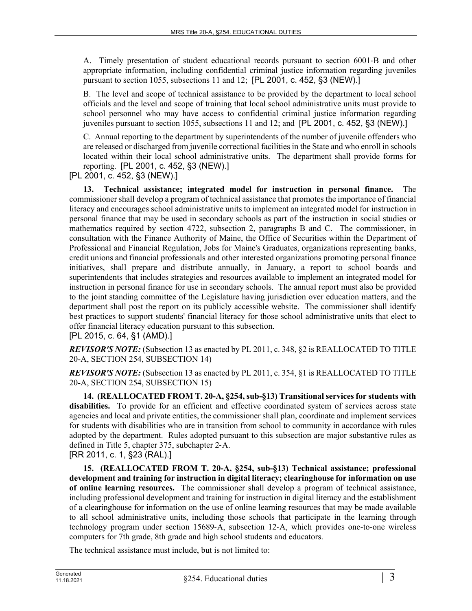A. Timely presentation of student educational records pursuant to section 6001‑B and other appropriate information, including confidential criminal justice information regarding juveniles pursuant to section 1055, subsections 11 and 12; [PL 2001, c. 452, §3 (NEW).]

B. The level and scope of technical assistance to be provided by the department to local school officials and the level and scope of training that local school administrative units must provide to school personnel who may have access to confidential criminal justice information regarding juveniles pursuant to section 1055, subsections 11 and 12; and [PL 2001, c. 452, §3 (NEW).]

C. Annual reporting to the department by superintendents of the number of juvenile offenders who are released or discharged from juvenile correctional facilities in the State and who enroll in schools located within their local school administrative units. The department shall provide forms for reporting. [PL 2001, c. 452, §3 (NEW).]

[PL 2001, c. 452, §3 (NEW).]

**13. Technical assistance; integrated model for instruction in personal finance.** The commissioner shall develop a program of technical assistance that promotes the importance of financial literacy and encourages school administrative units to implement an integrated model for instruction in personal finance that may be used in secondary schools as part of the instruction in social studies or mathematics required by section 4722, subsection 2, paragraphs B and C. The commissioner, in consultation with the Finance Authority of Maine, the Office of Securities within the Department of Professional and Financial Regulation, Jobs for Maine's Graduates, organizations representing banks, credit unions and financial professionals and other interested organizations promoting personal finance initiatives, shall prepare and distribute annually, in January, a report to school boards and superintendents that includes strategies and resources available to implement an integrated model for instruction in personal finance for use in secondary schools. The annual report must also be provided to the joint standing committee of the Legislature having jurisdiction over education matters, and the department shall post the report on its publicly accessible website. The commissioner shall identify best practices to support students' financial literacy for those school administrative units that elect to offer financial literacy education pursuant to this subsection.

[PL 2015, c. 64, §1 (AMD).]

*REVISOR'S NOTE:* (Subsection 13 as enacted by PL 2011, c. 348, §2 is REALLOCATED TO TITLE 20-A, SECTION 254, SUBSECTION 14)

*REVISOR'S NOTE:* (Subsection 13 as enacted by PL 2011, c. 354, §1 is REALLOCATED TO TITLE 20-A, SECTION 254, SUBSECTION 15)

**14. (REALLOCATED FROM T. 20-A, §254, sub-§13) Transitional services for students with disabilities.** To provide for an efficient and effective coordinated system of services across state agencies and local and private entities, the commissioner shall plan, coordinate and implement services for students with disabilities who are in transition from school to community in accordance with rules adopted by the department. Rules adopted pursuant to this subsection are major substantive rules as defined in Title 5, chapter 375, subchapter 2‑A.

[RR 2011, c. 1, §23 (RAL).]

**15. (REALLOCATED FROM T. 20-A, §254, sub-§13) Technical assistance; professional development and training for instruction in digital literacy; clearinghouse for information on use of online learning resources.** The commissioner shall develop a program of technical assistance, including professional development and training for instruction in digital literacy and the establishment of a clearinghouse for information on the use of online learning resources that may be made available to all school administrative units, including those schools that participate in the learning through technology program under section 15689‑A, subsection 12‑A, which provides one-to-one wireless computers for 7th grade, 8th grade and high school students and educators.

The technical assistance must include, but is not limited to: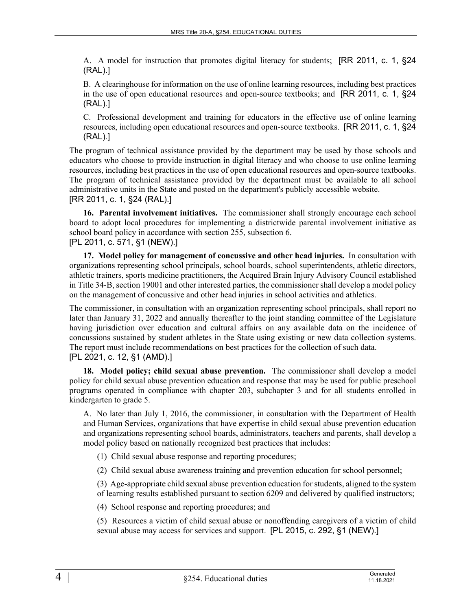A. A model for instruction that promotes digital literacy for students; [RR 2011, c. 1, §24 (RAL).]

B. A clearinghouse for information on the use of online learning resources, including best practices in the use of open educational resources and open-source textbooks; and [RR 2011, c. 1, §24 (RAL).]

C. Professional development and training for educators in the effective use of online learning resources, including open educational resources and open-source textbooks. [RR 2011, c. 1, §24 (RAL).]

The program of technical assistance provided by the department may be used by those schools and educators who choose to provide instruction in digital literacy and who choose to use online learning resources, including best practices in the use of open educational resources and open-source textbooks. The program of technical assistance provided by the department must be available to all school administrative units in the State and posted on the department's publicly accessible website. [RR 2011, c. 1, §24 (RAL).]

**16. Parental involvement initiatives.** The commissioner shall strongly encourage each school board to adopt local procedures for implementing a districtwide parental involvement initiative as school board policy in accordance with section 255, subsection 6. [PL 2011, c. 571, §1 (NEW).]

**17. Model policy for management of concussive and other head injuries.** In consultation with organizations representing school principals, school boards, school superintendents, athletic directors, athletic trainers, sports medicine practitioners, the Acquired Brain Injury Advisory Council established in Title 34‑B, section 19001 and other interested parties, the commissioner shall develop a model policy on the management of concussive and other head injuries in school activities and athletics.

The commissioner, in consultation with an organization representing school principals, shall report no later than January 31, 2022 and annually thereafter to the joint standing committee of the Legislature having jurisdiction over education and cultural affairs on any available data on the incidence of concussions sustained by student athletes in the State using existing or new data collection systems. The report must include recommendations on best practices for the collection of such data. [PL 2021, c. 12, §1 (AMD).]

**18. Model policy; child sexual abuse prevention.** The commissioner shall develop a model policy for child sexual abuse prevention education and response that may be used for public preschool programs operated in compliance with chapter 203, subchapter 3 and for all students enrolled in kindergarten to grade 5.

A. No later than July 1, 2016, the commissioner, in consultation with the Department of Health and Human Services, organizations that have expertise in child sexual abuse prevention education and organizations representing school boards, administrators, teachers and parents, shall develop a model policy based on nationally recognized best practices that includes:

- (1) Child sexual abuse response and reporting procedures;
- (2) Child sexual abuse awareness training and prevention education for school personnel;

(3) Age-appropriate child sexual abuse prevention education for students, aligned to the system of learning results established pursuant to section 6209 and delivered by qualified instructors;

(4) School response and reporting procedures; and

(5) Resources a victim of child sexual abuse or nonoffending caregivers of a victim of child sexual abuse may access for services and support. [PL 2015, c. 292, §1 (NEW).]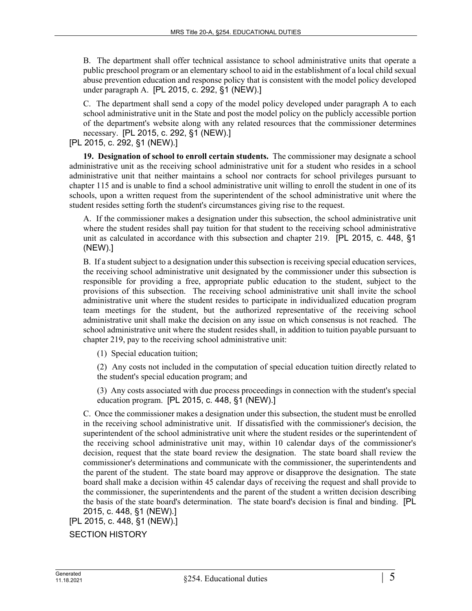B. The department shall offer technical assistance to school administrative units that operate a public preschool program or an elementary school to aid in the establishment of a local child sexual abuse prevention education and response policy that is consistent with the model policy developed under paragraph A. [PL 2015, c. 292, §1 (NEW).]

C. The department shall send a copy of the model policy developed under paragraph A to each school administrative unit in the State and post the model policy on the publicly accessible portion of the department's website along with any related resources that the commissioner determines necessary. [PL 2015, c. 292, §1 (NEW).]

[PL 2015, c. 292, §1 (NEW).]

**19. Designation of school to enroll certain students.** The commissioner may designate a school administrative unit as the receiving school administrative unit for a student who resides in a school administrative unit that neither maintains a school nor contracts for school privileges pursuant to chapter 115 and is unable to find a school administrative unit willing to enroll the student in one of its schools, upon a written request from the superintendent of the school administrative unit where the student resides setting forth the student's circumstances giving rise to the request.

A. If the commissioner makes a designation under this subsection, the school administrative unit where the student resides shall pay tuition for that student to the receiving school administrative unit as calculated in accordance with this subsection and chapter 219. [PL 2015, c. 448, §1 (NEW).]

B. If a student subject to a designation under this subsection is receiving special education services, the receiving school administrative unit designated by the commissioner under this subsection is responsible for providing a free, appropriate public education to the student, subject to the provisions of this subsection. The receiving school administrative unit shall invite the school administrative unit where the student resides to participate in individualized education program team meetings for the student, but the authorized representative of the receiving school administrative unit shall make the decision on any issue on which consensus is not reached. The school administrative unit where the student resides shall, in addition to tuition payable pursuant to chapter 219, pay to the receiving school administrative unit:

(1) Special education tuition;

(2) Any costs not included in the computation of special education tuition directly related to the student's special education program; and

(3) Any costs associated with due process proceedings in connection with the student's special education program. [PL 2015, c. 448, §1 (NEW).]

C. Once the commissioner makes a designation under this subsection, the student must be enrolled in the receiving school administrative unit. If dissatisfied with the commissioner's decision, the superintendent of the school administrative unit where the student resides or the superintendent of the receiving school administrative unit may, within 10 calendar days of the commissioner's decision, request that the state board review the designation. The state board shall review the commissioner's determinations and communicate with the commissioner, the superintendents and the parent of the student. The state board may approve or disapprove the designation. The state board shall make a decision within 45 calendar days of receiving the request and shall provide to the commissioner, the superintendents and the parent of the student a written decision describing the basis of the state board's determination. The state board's decision is final and binding. [PL 2015, c. 448, §1 (NEW).]

```
[PL 2015, c. 448, §1 (NEW).]
```

```
SECTION HISTORY
```